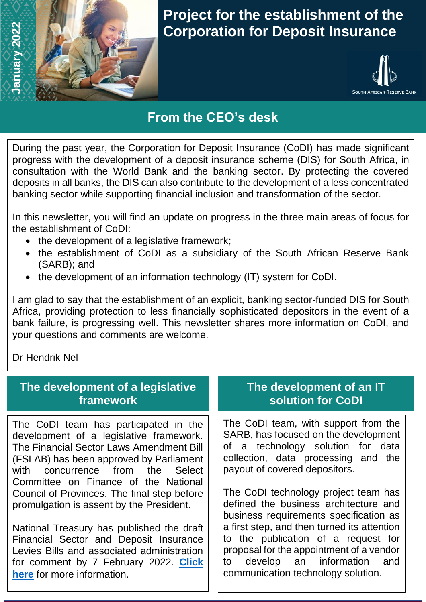

# **Project for the establishment of the Corporation for Deposit Insurance**



# **From the CEO's desk**

During the past year, the Corporation for Deposit Insurance (CoDI) has made significant progress with the development of a deposit insurance scheme (DIS) for South Africa, in consultation with the World Bank and the banking sector. By protecting the covered deposits in all banks, the DIS can also contribute to the development of a less concentrated banking sector while supporting financial inclusion and transformation of the sector.

In this newsletter, you will find an update on progress in the three main areas of focus for the establishment of CoDI:

- the development of a legislative framework;
- the establishment of CoDI as a subsidiary of the South African Reserve Bank (SARB); and
- the development of an information technology (IT) system for CoDI.

I am glad to say that the establishment of an explicit, banking sector-funded DIS for South Africa, providing protection to less financially sophisticated depositors in the event of a bank failure, is progressing well. This newsletter shares more information on CoDI, and your questions and comments are welcome.

Dr Hendrik Nel

| The development of a legislative<br>framework                                                                                                                                                                                                                                                                                                                                                                                                                                                                                                                    | The development of an IT<br>solution for CoDI                                                                                                                                                                                                                                                                                                                                                                                                                                                                                    |
|------------------------------------------------------------------------------------------------------------------------------------------------------------------------------------------------------------------------------------------------------------------------------------------------------------------------------------------------------------------------------------------------------------------------------------------------------------------------------------------------------------------------------------------------------------------|----------------------------------------------------------------------------------------------------------------------------------------------------------------------------------------------------------------------------------------------------------------------------------------------------------------------------------------------------------------------------------------------------------------------------------------------------------------------------------------------------------------------------------|
| The CoDI team has participated in the<br>development of a legislative framework.<br>The Financial Sector Laws Amendment Bill<br>(FSLAB) has been approved by Parliament<br>with concurrence from<br>the<br>Select<br>Committee on Finance of the National<br>Council of Provinces. The final step before<br>promulgation is assent by the President.<br>National Treasury has published the draft<br>Financial Sector and Deposit Insurance<br>Levies Bills and associated administration<br>for comment by 7 February 2022. Click<br>here for more information. | The CoDI team, with support from the<br>SARB, has focused on the development<br>of a technology solution for data<br>collection, data processing and the<br>payout of covered depositors.<br>The CoDI technology project team has<br>defined the business architecture and<br>business requirements specification as<br>a first step, and then turned its attention<br>to the publication of a request for<br>proposal for the appointment of a vendor<br>to develop an information<br>and<br>communication technology solution. |
|                                                                                                                                                                                                                                                                                                                                                                                                                                                                                                                                                                  |                                                                                                                                                                                                                                                                                                                                                                                                                                                                                                                                  |